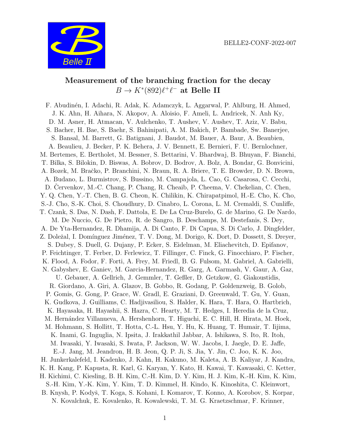

# Measurement of the branching fraction for the decay  $B \to K^*(892)\ell^+\ell^-$  at Belle II

F. Abudin´en, I. Adachi, R. Adak, K. Adamczyk, L. Aggarwal, P. Ahlburg, H. Ahmed, J. K. Ahn, H. Aihara, N. Akopov, A. Aloisio, F. Ameli, L. Andricek, N. Anh Ky, D. M. Asner, H. Atmacan, V. Aulchenko, T. Aushev, V. Aushev, T. Aziz, V. Babu, S. Bacher, H. Bae, S. Baehr, S. Bahinipati, A. M. Bakich, P. Bambade, Sw. Banerjee, S. Bansal, M. Barrett, G. Batignani, J. Baudot, M. Bauer, A. Baur, A. Beaubien, A. Beaulieu, J. Becker, P. K. Behera, J. V. Bennett, E. Bernieri, F. U. Bernlochner, M. Bertemes, E. Bertholet, M. Bessner, S. Bettarini, V. Bhardwaj, B. Bhuyan, F. Bianchi, T. Bilka, S. Bilokin, D. Biswas, A. Bobrov, D. Bodrov, A. Bolz, A. Bondar, G. Bonvicini, A. Bozek, M. Bračko, P. Branchini, N. Braun, R. A. Briere, T. E. Browder, D. N. Brown, A. Budano, L. Burmistrov, S. Bussino, M. Campajola, L. Cao, G. Casarosa, C. Cecchi, D. Cervenkov, M.-C. Chang, P. Chang, R. Cheaib, P. Cheema, V. Chekelian, C. Chen, Y. Q. Chen, Y.-T. Chen, B. G. Cheon, K. Chilikin, K. Chirapatpimol, H.-E. Cho, K. Cho, S.-J. Cho, S.-K. Choi, S. Choudhury, D. Cinabro, L. Corona, L. M. Cremaldi, S. Cunliffe, T. Czank, S. Das, N. Dash, F. Dattola, E. De La Cruz-Burelo, G. de Marino, G. De Nardo, M. De Nuccio, G. De Pietro, R. de Sangro, B. Deschamps, M. Destefanis, S. Dey, A. De Yta-Hernandez, R. Dhamija, A. Di Canto, F. Di Capua, S. Di Carlo, J. Dingfelder, Z. Doležal, I. Domínguez Jiménez, T. V. Dong, M. Dorigo, K. Dort, D. Dossett, S. Dreyer, S. Dubey, S. Duell, G. Dujany, P. Ecker, S. Eidelman, M. Eliachevitch, D. Epifanov, P. Feichtinger, T. Ferber, D. Ferlewicz, T. Fillinger, C. Finck, G. Finocchiaro, P. Fischer, K. Flood, A. Fodor, F. Forti, A. Frey, M. Friedl, B. G. Fulsom, M. Gabriel, A. Gabrielli, N. Gabyshev, E. Ganiev, M. Garcia-Hernandez, R. Garg, A. Garmash, V. Gaur, A. Gaz, U. Gebauer, A. Gellrich, J. Gemmler, T. Geßler, D. Getzkow, G. Giakoustidis, R. Giordano, A. Giri, A. Glazov, B. Gobbo, R. Godang, P. Goldenzweig, B. Golob, P. Gomis, G. Gong, P. Grace, W. Gradl, E. Graziani, D. Greenwald, T. Gu, Y. Guan, K. Gudkova, J. Guilliams, C. Hadjivasiliou, S. Halder, K. Hara, T. Hara, O. Hartbrich, K. Hayasaka, H. Hayashii, S. Hazra, C. Hearty, M. T. Hedges, I. Heredia de la Cruz, M. Hern´andez Villanueva, A. Hershenhorn, T. Higuchi, E. C. Hill, H. Hirata, M. Hoek, M. Hohmann, S. Hollitt, T. Hotta, C.-L. Hsu, Y. Hu, K. Huang, T. Humair, T. Iijima, K. Inami, G. Inguglia, N. Ipsita, J. Irakkathil Jabbar, A. Ishikawa, S. Ito, R. Itoh, M. Iwasaki, Y. Iwasaki, S. Iwata, P. Jackson, W. W. Jacobs, I. Jaegle, D. E. Jaffe, E.-J. Jang, M. Jeandron, H. B. Jeon, Q. P. Ji, S. Jia, Y. Jin, C. Joo, K. K. Joo, H. Junkerkalefeld, I. Kadenko, J. Kahn, H. Kakuno, M. Kaleta, A. B. Kaliyar, J. Kandra, K. H. Kang, P. Kapusta, R. Karl, G. Karyan, Y. Kato, H. Kawai, T. Kawasaki, C. Ketter, H. Kichimi, C. Kiesling, B. H. Kim, C.-H. Kim, D. Y. Kim, H. J. Kim, K.-H. Kim, K. Kim, S.-H. Kim, Y.-K. Kim, Y. Kim, T. D. Kimmel, H. Kindo, K. Kinoshita, C. Kleinwort, B. Knysh, P. Kodyš, T. Koga, S. Kohani, I. Komarov, T. Konno, A. Korobov, S. Korpar, N. Kovalchuk, E. Kovalenko, R. Kowalewski, T. M. G. Kraetzschmar, F. Krinner,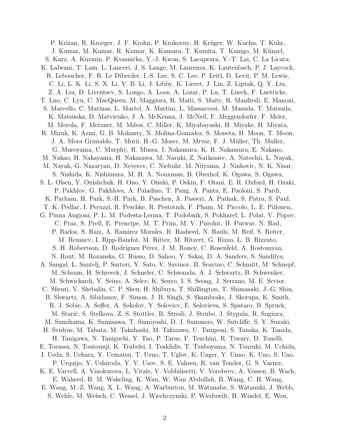P. Križan, R. Kroeger, J. F. Krohn, P. Krokovny, H. Krüger, W. Kuehn, T. Kuhr, J. Kumar, M. Kumar, R. Kumar, K. Kumara, T. Kumita, T. Kunigo, M. Künzel, S. Kurz, A. Kuzmin, P. Kvasnička, Y.-J. Kwon, S. Lacaprara, Y.-T. Lai, C. La Licata, K. Lalwani, T. Lam, L. Lanceri, J. S. Lange, M. Laurenza, K. Lautenbach, P. J. Laycock, R. Leboucher, F. R. Le Diberder, I.-S. Lee, S. C. Lee, P. Leitl, D. Levit, P. M. Lewis, C. Li, L. K. Li, S. X. Li, Y. B. Li, J. Libby, K. Lieret, J. Lin, Z. Liptak, Q. Y. Liu, Z. A. Liu, D. Liventsev, S. Longo, A. Loos, A. Lozar, P. Lu, T. Lueck, F. Luetticke, T. Luo, C. Lyu, C. MacQueen, M. Maggiora, R. Maiti, S. Maity, R. Manfredi, E. Manoni, S. Marcello, C. Marinas, L. Martel, A. Martini, L. Massaccesi, M. Masuda, T. Matsuda, K. Matsuoka, D. Matvienko, J. A. McKenna, J. McNeil, F. Meggendorfer, F. Meier, M. Merola, F. Metzner, M. Milesi, C. Miller, K. Miyabayashi, H. Miyake, H. Miyata, R. Mizuk, K. Azmi, G. B. Mohanty, N. Molina-Gonzalez, S. Moneta, H. Moon, T. Moon, J. A. Mora Grimaldo, T. Morii, H.-G. Moser, M. Mrvar, F. J. Müller, Th. Muller, G. Muroyama, C. Murphy, R. Mussa, I. Nakamura, K. R. Nakamura, E. Nakano, M. Nakao, H. Nakayama, H. Nakazawa, M. Naruki, Z. Natkaniec, A. Natochii, L. Nayak, M. Nayak, G. Nazaryan, D. Neverov, C. Niebuhr, M. Niiyama, J. Ninkovic, N. K. Nisar, S. Nishida, K. Nishimura, M. H. A. Nouxman, B. Oberhof, K. Ogawa, S. Ogawa, S. L. Olsen, Y. Onishchuk, H. Ono, Y. Onuki, P. Oskin, F. Otani, E. R. Oxford, H. Ozaki, P. Pakhlov, G. Pakhlova, A. Paladino, T. Pang, A. Panta, E. Paoloni, S. Pardi, K. Parham, H. Park, S.-H. Park, B. Paschen, A. Passeri, A. Pathak, S. Patra, S. Paul, T. K. Pedlar, I. Peruzzi, R. Peschke, R. Pestotnik, F. Pham, M. Piccolo, L. E. Piilonen, G. Pinna Angioni, P. L. M. Podesta-Lerma, T. Podobnik, S. Pokharel, L. Polat, V. Popov, C. Praz, S. Prell, E. Prencipe, M. T. Prim, M. V. Purohit, H. Purwar, N. Rad, P. Rados, S. Raiz, A. Ramirez Morales, R. Rasheed, N. Rauls, M. Reif, S. Reiter, M. Remnev, I. Ripp-Baudot, M. Ritter, M. Ritzert, G. Rizzo, L. B. Rizzuto, S. H. Robertson, D. Rodríguez Pérez, J. M. Roney, C. Rosenfeld, A. Rostomyan, N. Rout, M. Rozanska, G. Russo, D. Sahoo, Y. Sakai, D. A. Sanders, S. Sandilya, A. Sangal, L. Santelj, P. Sartori, Y. Sato, V. Savinov, B. Scavino, C. Schmitt, M. Schnepf, M. Schram, H. Schreeck, J. Schueler, C. Schwanda, A. J. Schwartz, B. Schwenker, M. Schwickardi, Y. Seino, A. Selce, K. Senyo, I. S. Seong, J. Serrano, M. E. Sevior, C. Sfienti, V. Shebalin, C. P. Shen, H. Shibuya, T. Shillington, T. Shimasaki, J.-G. Shiu, B. Shwartz, A. Sibidanov, F. Simon, J. B. Singh, S. Skambraks, J. Skorupa, K. Smith, R. J. Sobie, A. Soffer, A. Sokolov, Y. Soloviev, E. Solovieva, S. Spataro, B. Spruck, M. Starič, S. Stefkova, Z. S. Stottler, R. Stroili, J. Strube, J. Stypula, R. Sugiura, M. Sumihama, K. Sumisawa, T. Sumiyoshi, D. J. Summers, W. Sutcliffe, S. Y. Suzuki, H. Svidras, M. Tabata, M. Takahashi, M. Takizawa, U. Tamponi, S. Tanaka, K. Tanida, H. Tanigawa, N. Taniguchi, Y. Tao, P. Taras, F. Tenchini, R. Tiwary, D. Tonelli, E. Torassa, N. Toutounji, K. Trabelsi, I. Tsaklidis, T. Tsuboyama, N. Tsuzuki, M. Uchida, I. Ueda, S. Uehara, Y. Uematsu, T. Ueno, T. Uglov, K. Unger, Y. Unno, K. Uno, S. Uno, P. Urquijo, Y. Ushiroda, Y. V. Usov, S. E. Vahsen, R. van Tonder, G. S. Varner, K. E. Varvell, A. Vinokurova, L. Vitale, V. Vobbilisetti, V. Vorobyev, A. Vossen, B. Wach, E. Waheed, H. M. Wakeling, K. Wan, W. Wan Abdullah, B. Wang, C. H. Wang, E. Wang, M.-Z. Wang, X. L. Wang, A. Warburton, M. Watanabe, S. Watanuki, J. Webb,

S. Wehle, M. Welsch, C. Wessel, J. Wiechczynski, P. Wieduwilt, H. Windel, E. Won,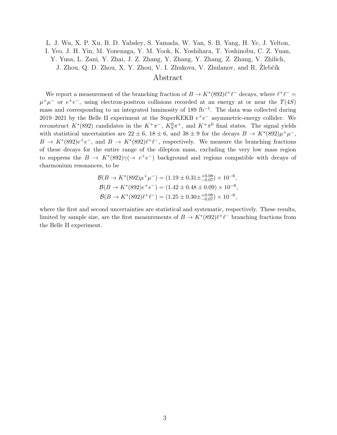L. J. Wu, X. P. Xu, B. D. Yabsley, S. Yamada, W. Yan, S. B. Yang, H. Ye, J. Yelton, I. Yeo, J. H. Yin, M. Yonenaga, Y. M. Yook, K. Yoshihara, T. Yoshinobu, C. Z. Yuan, Y. Yusa, L. Zani, Y. Zhai, J. Z. Zhang, Y. Zhang, Y. Zhang, Z. Zhang, V. Zhilich, J. Zhou, Q. D. Zhou, X. Y. Zhou, V. I. Zhukova, V. Zhulanov, and R. Žlebčík

### Abstract

We report a measurement of the branching fraction of  $B \to K^*(892)\ell^+\ell^-$  decays, where  $\ell^+\ell^ \mu^+\mu^-$  or  $e^+e^-$ , using electron-positron collisions recorded at an energy at or near the  $\Upsilon(4S)$ mass and corresponding to an integrated luminosity of 189 fb<sup>-1</sup>. The data was collected during 2019–2021 by the Belle II experiment at the SuperKEKB  $e^+e^-$  asymmetric-energy collider. We reconstruct  $K^*(892)$  candidates in the  $K^+\pi^-$ ,  $K^0_S\pi^+$ , and  $K^+\pi^0$  final states. The signal yields with statistical uncertainties are  $22 \pm 6$ ,  $18 \pm 6$ , and  $38 \pm 9$  for the decays  $B \to K^*(892)\mu^+\mu^-$ ,  $B \to K^*(892)e^+e^-$ , and  $B \to K^*(892)\ell^+\ell^-$ , respectively. We measure the branching fractions of these decays for the entire range of the dilepton mass, excluding the very low mass region to suppress the  $B \to K^*(892)\gamma(\rightarrow e^+e^-)$  background and regions compatible with decays of charmonium resonances, to be

$$
\mathcal{B}(B \to K^*(892)\mu^+\mu^-) = (1.19 \pm 0.31 \pm {}^{+0.08}_{-0.07}) \times 10^{-6},
$$
  
\n
$$
\mathcal{B}(B \to K^*(892)e^+e^-) = (1.42 \pm 0.48 \pm 0.09) \times 10^{-6},
$$
  
\n
$$
\mathcal{B}(B \to K^*(892)\ell^+\ell^-) = (1.25 \pm 0.30 \pm {}^{+0.08}_{-0.07}) \times 10^{-6},
$$

where the first and second uncertainties are statistical and systematic, respectively. These results, limited by sample size, are the first measurements of  $B \to K^*(892)\ell^+\ell^-$  branching fractions from the Belle II experiment.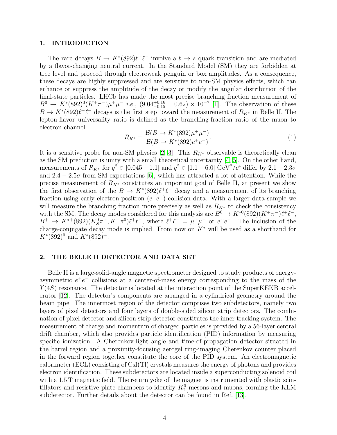#### 1. INTRODUCTION

The rare decays  $B \to K^*(892)\ell^+\ell^-$  involve a  $b \to s$  quark transition and are mediated by a flavor-changing neutral current. In the Standard Model (SM) they are forbidden at tree level and proceed through electroweak penguin or box amplitudes. As a consequence, these decays are highly suppressed and are sensitive to non-SM physics effects, which can enhance or suppress the amplitude of the decay or modify the angular distribution of the final-state particles. LHCb has made the most precise branching fraction measurement of  $B^0 \to K^*(892)^0(K^+\pi^-)\mu^+\mu^-$  *i.e.*,  $(9.04^{+0.16}_{-0.15} \pm 0.62) \times 10^{-7}$  [\[1\]](#page-10-0). The observation of these  $B \to K^*(892)\ell^+\ell^-$  decays is the first step toward the measurement of  $R_{K^*}$  in Belle II. The lepton-flavor universality ratio is defined as the branching-fraction ratio of the muon to electron channel

$$
R_{K^*} = \frac{\mathcal{B}(B \to K^*(892)\mu^+\mu^-)}{\mathcal{B}(B \to K^*(892)e^+e^-)}.
$$
\n(1)

It is a sensitive probe for non-SM physics [\[2,](#page-10-1) [3\]](#page-10-2). This  $R_{K^*}$  observable is theoretically clean as the SM prediction is unity with a small theoretical uncertainty [\[4,](#page-10-3) [5\]](#page-10-4). On the other hand, measurements of  $R_{K^*}$  for  $q^2 \in [0.045 - 1.1]$  and  $q^2 \in [1.1 - 6.0]$  GeV<sup>2</sup>/ $c^4$  differ by  $2.1 - 2.3\sigma$ and  $2.4 - 2.5\sigma$  from SM expectations [\[6\]](#page-10-5), which has attracted a lot of attention. While the precise measurement of  $R_{K^*}$  constitutes an important goal of Belle II, at present we show the first observation of the  $B \to K^*(892)\ell^+\ell^-$  decay and a measurement of its branching fraction using early electron-positron  $(e^+e^-)$  collision data. With a larger data sample we will measure the branching fraction more precisely as well as  $R_{K^*}$  to check the consistency with the SM. The decay modes considered for this analysis are  $B^0 \to K^{*0}(892)(K^+\pi^-)\ell^+\ell^-,$  $B^+ \to K^{*+}(892)(K_S^0\pi^+, K^+\pi^0)\ell^+\ell^-$ , where  $\ell^+\ell^- = \mu^+\mu^-$  or  $e^+e^-$ . The inclusion of the charge-conjugate decay mode is implied. From now on  $K^*$  will be used as a shorthand for  $K^*(892)^0$  and  $K^*(892)^+$ .

#### 2. THE BELLE II DETECTOR AND DATA SET

Belle II is a large-solid-angle magnetic spectrometer designed to study products of energyasymmetric  $e^+e^-$  collisions at a center-of-mass energy corresponding to the mass of the  $\Upsilon(4S)$  resonance. The detector is located at the interaction point of the SuperKEKB accelerator [\[12\]](#page-10-6). The detector's components are arranged in a cylindrical geometry around the beam pipe. The innermost region of the detector comprises two subdetectors, namely two layers of pixel detectors and four layers of double-sided silicon strip detectors. The combination of pixel detector and silicon strip detector constitutes the inner tracking system. The measurement of charge and momentum of charged particles is provided by a 56-layer central drift chamber, which also provides particle identification (PID) information by measuring specific ionization. A Cherenkov-light angle and time-of-propagation detector situated in the barrel region and a proximity-focusing aerogel ring-imaging Cherenkov counter placed in the forward region together constitute the core of the PID system. An electromagnetic calorimeter (ECL) consisting of CsI(Tl) crystals measures the energy of photons and provides electron identification. These subdetectors are located inside a superconducting solenoid coil with a 1.5 T magnetic field. The return yoke of the magnet is instrumented with plastic scintillators and resistive plate chambers to identify  $K<sub>L</sub><sup>0</sup>$  mesons and muons, forming the KLM subdetector. Further details about the detector can be found in Ref. [\[13\]](#page-10-7).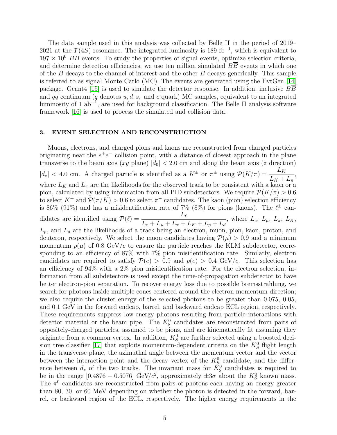The data sample used in this analysis was collected by Belle II in the period of 2019– 2021 at the  $\Upsilon(4S)$  resonance. The integrated luminosity is 189 fb<sup>-1</sup>, which is equivalent to  $197 \times 10^6$  BB events. To study the properties of signal events, optimize selection criteria, and determine detection efficiencies, we use ten million simulated  $B\overline{B}$  events in which one of the  $B$  decays to the channel of interest and the other  $B$  decays generically. This sample is referred to as signal Monte Carlo (MC). The events are generated using the EvtGen [\[14\]](#page-10-8) package. Geant4 [\[15\]](#page-10-9) is used to simulate the detector response. In addition, inclusive BB and  $q\bar{q}$  continuum (q denotes u, d, s, and c quark) MC samples, equivalent to an integrated luminosity of 1 ab<sup>-1</sup>, are used for background classification. The Belle II analysis software framework [\[16\]](#page-10-10) is used to process the simulated and collision data.

#### 3. EVENT SELECTION AND RECONSTRUCTION

Muons, electrons, and charged pions and kaons are reconstructed from charged particles originating near the  $e^+e^-$  collision point, with a distance of closest approach in the plane transverse to the beam axis  $(xy \text{ plane}) |d_0| < 2.0 \text{ cm}$  and along the beam axis (z direction)  $|d_z| < 4.0$  cm. A charged particle is identified as a  $K^{\pm}$  or  $\pi^{\pm}$  using  $\mathcal{P}(K/\pi) = \frac{L_K}{L_{\perp}}$  $L_K + L_\pi$ , where  $L_K$  and  $L_{\pi}$  are the likelihoods for the observed track to be consistent with a kaon or a pion, calculated by using information from all PID subdetectors. We require  $\mathcal{P}(K/\pi) > 0.6$ to select  $K^+$  and  $\mathcal{P}(\pi/K) > 0.6$  to select  $\pi^+$  candidates. The kaon (pion) selection efficiency is 86% (91%) and has a misidentification rate of 7% (8%) for pions (kaons). The  $\ell^{\pm}$  candidates are identified using  $\mathcal{P}(\ell) = \frac{L_{\ell}}{L_{\ell}}$  $L_e + L_{\mu} + L_{\pi} + L_K + L_p + L_d$ , where  $L_e$ ,  $L_{\mu}$ ,  $L_{\pi}$ ,  $L_K$ ,  $L_p$ , and  $L_d$  are the likelihoods of a track being an electron, muon, pion, kaon, proton, and deuteron, respectively. We select the muon candidates having  $P(\mu) > 0.9$  and a minimum momentum  $p(\mu)$  of 0.8 GeV/c to ensure the particle reaches the KLM subdetector, corresponding to an efficiency of 87% with 7% pion misidentification rate. Similarly, electron candidates are required to satisfy  $\mathcal{P}(e) > 0.9$  and  $p(e) > 0.4 \text{ GeV}/c$ . This selection has an efficiency of 94% with a 2% pion misidentification rate. For the electron selection, information from all subdetectors is used except the time-of-propagation subdetector to have better electron-pion separation. To recover energy loss due to possible bremsstrahlung, we search for photons inside multiple cones centered around the electron momentum direction; we also require the cluster energy of the selected photons to be greater than 0.075, 0.05, and 0.1 GeV in the forward endcap, barrel, and backward endcap ECL region, respectively. These requirements suppress low-energy photons resulting from particle interactions with detector material or the beam pipe. The  $K_S^0$  candidates are reconstructed from pairs of oppositely-charged particles, assumed to be pions, and are kinematically fit assuming they originate from a common vertex. In addition,  $K_S^0$  are further selected using a boosted deci-sion tree classifier [\[17\]](#page-10-11) that exploits momentum-dependent criteria on the  $K_S^0$  flight length in the transverse plane, the azimuthal angle between the momentum vector and the vector between the interaction point and the decay vertex of the  $K_S^0$  candidate, and the difference between  $d_z$  of the two tracks. The invariant mass for  $K^0_S$  candidates is required to be in the range [0.4876 – 0.5076] GeV/ $c^2$ , approximately  $\pm 3\sigma$  about the  $K^0_S$  known mass. The  $\pi^0$  candidates are reconstructed from pairs of photons each having an energy greater than 80, 30, or 60 MeV depending on whether the photon is detected in the forward, barrel, or backward region of the ECL, respectively. The higher energy requirements in the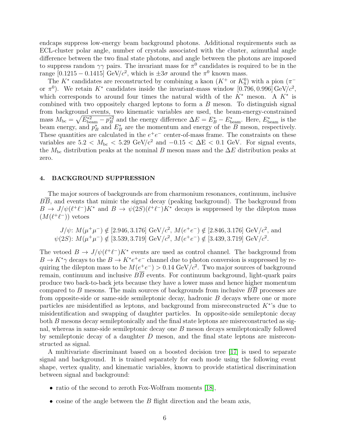endcaps suppress low-energy beam background photons. Additional requirements such as ECL-cluster polar angle, number of crystals associated with the cluster, azimuthal angle difference between the two final state photons, and angle between the photons are imposed to suppress random  $\gamma\gamma$  pairs. The invariant mass for  $\pi^0$  candidates is required to be in the range [0.1215 – 0.1415] GeV/ $c^2$ , which is  $\pm 3\sigma$  around the  $\pi^0$  known mass.

The  $K^*$  candidates are reconstructed by combining a kaon  $(K^+$  or  $K^0_S)$  with a pion  $(\pi^-)$ or  $\pi^0$ ). We retain K<sup>\*</sup> candidates inside the invariant-mass window [0.796, 0.996] GeV/ $c^2$ , which corresponds to around four times the natural width of the  $K^*$  meson. A  $K^*$  is combined with two oppositely charged leptons to form a B meson. To distinguish signal from background events, two kinematic variables are used, the beam-energy-constrained mass  $M_{\rm bc} = \sqrt{E_{\rm beam}^{*2} - p_B^{*2}}$  and the energy difference  $\Delta E = E_B^* - E_{\rm beam}^*$ . Here,  $E_{\rm beam}^*$  is the beam energy, and  $p_B^*$  and  $E_B^*$  are the momentum and energy of the B meson, respectively. These quantities are calculated in the  $e^+e^-$  center-of-mass frame. The constraints on these variables are  $5.2 < M_{\text{bc}} < 5.29 \text{ GeV}/c^2$  and  $-0.15 < \Delta E < 0.1 \text{ GeV}$ . For signal events, the  $M_{bc}$  distribution peaks at the nominal B meson mass and the  $\Delta E$  distribution peaks at zero.

#### 4. BACKGROUND SUPPRESSION

The major sources of backgrounds are from charmonium resonances, continuum, inclusive BB, and events that mimic the signal decay (peaking background). The background from  $B \to J/\psi(\ell^+\ell^-)K^*$  and  $B \to \psi(2S)(\ell^+\ell^-)K^*$  decays is suppressed by the dilepton mass  $(M(\ell^+\ell^-))$  vetoes

$$
J/\psi
$$
:  $M(\mu^+\mu^-) \notin [2.946, 3.176]$  GeV/ $c^2$ ,  $M(e^+e^-) \notin [2.846, 3.176]$  GeV/ $c^2$ , and  $\psi(2S)$ :  $M(\mu^+\mu^-) \notin [3.539, 3.719]$  GeV/ $c^2$ ,  $M(e^+e^-) \notin [3.439, 3.719]$  GeV/ $c^2$ .

The vetoed  $B \to J/\psi(\ell^+\ell^-)K^*$  events are used as control channel. The background from  $B \to K^*\gamma$  decays to the  $B \to K^*e^+e^-$  channel due to photon conversion is suppressed by requiring the dilepton mass to be  $M(e^+e^-) > 0.14 \text{ GeV}/c^2$ . Two major sources of background remain, continuum and inclusive  $B\overline{B}$  events. For continuum background, light-quark pairs produce two back-to-back jets because they have a lower mass and hence higher momentum compared to B mesons. The main sources of backgrounds from inclusive BB processes are from opposite-side or same-side semileptonic decay, hadronic B decays where one or more particles are misidentified as leptons, and background from misreconstructed  $K^*$ 's due to misidentification and swapping of daughter particles. In opposite-side semileptonic decay both B mesons decay semileptonically and the final state leptons are misreconstructed as signal, whereas in same-side semileptonic decay one B meson decays semileptonically followed by semileptonic decay of a daughter  $D$  meson, and the final state leptons are misreconstructed as signal.

A multivariate discriminant based on a boosted decision tree [\[17\]](#page-10-11) is used to separate signal and background. It is trained separately for each mode using the following event shape, vertex quality, and kinematic variables, known to provide statistical discrimination between signal and background:

- ratio of the second to zeroth Fox-Wolfram moments [\[18\]](#page-10-12),
- cosine of the angle between the  $B$  flight direction and the beam axis,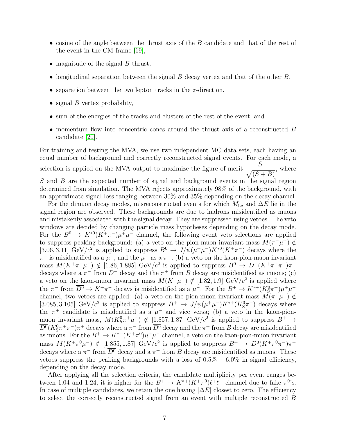- cosine of the angle between the thrust axis of the  $B$  candidate and that of the rest of the event in the CM frame [\[19\]](#page-10-13),
- magnitude of the signal  $B$  thrust,
- longitudinal separation between the signal  $B$  decay vertex and that of the other  $B$ ,
- separation between the two lepton tracks in the *z*-direction,
- signal  $B$  vertex probability,
- sum of the energies of the tracks and clusters of the rest of the event, and
- momentum flow into concentric cones around the thrust axis of a reconstructed B candidate [\[20\]](#page-10-14).

For training and testing the MVA, we use two independent MC data sets, each having an equal number of background and correctly reconstructed signal events. For each mode, a selection is applied on the MVA output to maximize the figure of merit  $\frac{S}{\sqrt{S}}$  $\sqrt{(S+B)}$ , where  $S$  and  $B$  are the expected number of signal and background events in the signal region determined from simulation. The MVA rejects approximately 98% of the background, with an approximate signal loss ranging between 30% and 35% depending on the decay channel.

For the dimuon decay modes, misreconstructed events for which  $M_{bc}$  and  $\Delta E$  lie in the signal region are observed. These backgrounds are due to hadrons misidentified as muons and mistakenly associated with the signal decay. They are suppressed using vetoes. The veto windows are decided by changing particle mass hypotheses depending on the decay mode. For the  $B^0 \to K^{*0}(K^+\pi^-)\mu^+\mu^-$  channel, the following event veto selections are applied to suppress peaking background: (a) a veto on the pion-muon invariant mass  $M(\pi^{-}\mu^{+}) \notin$ [3.06, 3.11] GeV/ $c^2$  is applied to suppress  $B^0 \to J/\psi(\mu^+\mu^-)K^{*0}(K^+\pi^-)$  decays where the  $\pi^-$  is misidentified as a  $\mu^-$ , and the  $\mu^-$  as a  $\pi^-$ ; (b) a veto on the kaon-pion-muon invariant mass  $M(K^+\pi^-\mu^-) \notin [1.86, 1.885] \text{ GeV}/c^2$  is applied to suppress  $B^0 \to D^-(K^+\pi^-\pi^-)\pi^+$ decays where a  $\pi^-$  from  $D^-$  decay and the  $\pi^+$  from B decay are misidentified as muons; (c) a veto on the kaon-muon invariant mass  $M(K^+\mu^-) \notin [1.82, 1.9]$  GeV/ $c^2$  is applied where the  $\pi^-$  from  $\overline{D^0} \to K^+\pi^-$  decays is misidentified as a  $\mu^-$ . For the  $B^+ \to K^{*+}(K^0_S\pi^+)\mu^+\mu^$ channel, two vetoes are applied: (a) a veto on the pion-muon invariant mass  $M(\pi^+\mu^-) \notin$ [3.085, 3.105] GeV/ $c^2$  is applied to suppress  $B^+ \to J/\psi(\mu^+\mu^-)K^{*+}(K^0_S\pi^+)$  decays where the  $\pi^+$  candidate is misidentified as a  $\mu^+$  and vice versa; (b) a veto in the kaon-pionmuon invariant mass,  $M(K_S^0 \pi^+ \mu^-) \notin [1.857, 1.87] \text{ GeV}/c^2$  is applied to suppress  $B^+ \to$  $\overline{D^0}(K^0_S\pi^+\pi^-)\pi^+$  decays where a  $\pi^-$  from  $\overline{D^0}$  decay and the  $\pi^+$  from  $B$  decay are misidentified as muons. For the  $B^+ \to K^{*+}(K^+\pi^0)\mu^+\mu^-$  channel, a veto on the kaon-pion-muon invariant mass  $M(K^+\pi^0\mu^-) \notin [1.855, 1.87] \text{ GeV}/c^2$  is applied to suppress  $B^+ \to \overline{D^0}(K^+\pi^0\pi^-)\pi^+$ decays where a  $\pi^-$  from  $\overline{D^0}$  decay and a  $\pi^+$  from B decay are misidentified as muons. These vetoes suppress the peaking backgrounds with a loss of  $0.5\% - 6.0\%$  in signal efficiency, depending on the decay mode.

After applying all the selection criteria, the candidate multiplicity per event ranges between 1.04 and 1.24, it is higher for the  $B^+ \to K^{*+}(K^+\pi^0)\ell^+\ell^-$  channel due to fake  $\pi^0$ 's. In case of multiple candidates, we retain the one having  $|\Delta E|$  closest to zero. The efficiency to select the correctly reconstructed signal from an event with multiple reconstructed B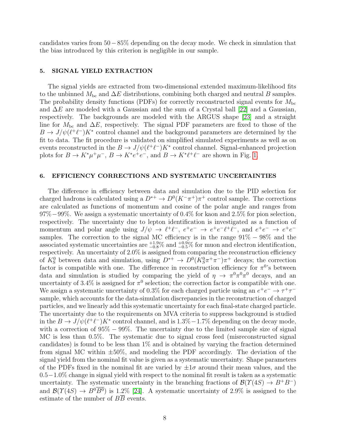candidates varies from 50−85% depending on the decay mode. We check in simulation that the bias introduced by this criterion is negligible in our sample.

### 5. SIGNAL YIELD EXTRACTION

The signal yields are extracted from two-dimensional extended maximum-likelihood fits to the unbinned  $M_{bc}$  and  $\Delta E$  distributions, combining both charged and neutral B samples. The probability density functions (PDFs) for correctly reconstructed signal events for  $M_{\rm bc}$ and  $\Delta E$  are modeled with a Gaussian and the sum of a Crystal ball [\[22\]](#page-10-15) and a Gaussian, respectively. The backgrounds are modeled with the ARGUS shape [\[23\]](#page-10-16) and a straight line for  $M_{bc}$  and  $\Delta E$ , respectively. The signal PDF parameters are fixed to those of the  $B \to J/\psi(\ell^+\ell^-)K^*$  control channel and the background parameters are determined by the fit to data. The fit procedure is validated on simplified simulated experiments as well as on events reconstructed in the  $B \to J/\psi(\ell^+\ell^-) K^*$  control channel. Signal-enhanced projection plots for  $B \to K^* \mu^+ \mu^-$ ,  $B \to K^* e^+ e^-$ , and  $B \to K^* \ell^+ \ell^-$  are shown in Fig. [1.](#page-8-0)

## <span id="page-7-0"></span>6. EFFICIENCY CORRECTIONS AND SYSTEMATIC UNCERTAINTIES

The difference in efficiency between data and simulation due to the PID selection for charged hadrons is calculated using a  $D^{*+} \to D^{0}(K^{-}\pi^{+})\pi^{+}$  control sample. The corrections are calculated as functions of momentum and cosine of the polar angle and ranges from 97%−99%. We assign a systematic uncertainty of 0.4% for kaon and 2.5% for pion selection, respectively. The uncertainty due to lepton identification is investigated as a function of momentum and polar angle using  $J/\psi \to \ell^+\ell^-$ ,  $e^+e^- \to e^+e^-\ell^+\ell^-$ , and  $e^+e^- \to e^+e^$ samples. The correction to the signal MC efficiency is in the range  $91\% - 98\%$  and the associated systematic uncertainties are  $_{-0.8}^{+1.9\%}$  and  $_{-0.5}^{+0.9\%}$  for muon and electron identification, respectively. An uncertainty of 2.0% is assigned from comparing the reconstruction efficiency of  $K^0_S$  between data and simulation, using  $D^{*+} \to D^0(K^0_S \pi^+ \pi^-) \pi^+$  decays; the correction factor is compatible with one. The difference in reconstruction efficiency for  $\pi^{0}$ 's between data and simulation is studied by comparing the yield of  $\eta \to \pi^0 \pi^0 \pi^0$  decays, and an uncertainty of 3.4% is assigned for  $\pi^0$  selection; the correction factor is compatible with one. We assign a systematic uncertainty of 0.3% for each charged particle using an  $e^+e^- \to \tau^+\tau^$ sample, which accounts for the data-simulation discrepancies in the reconstruction of charged particles, and we linearly add this systematic uncertainty for each final-state charged particle. The uncertainty due to the requirements on MVA criteria to suppress background is studied in the  $B \to J/\psi(\ell^+\ell^-)K^*$  control channel, and is 1.3% – 1.7% depending on the decay mode, with a correction of  $95\% - 99\%$ . The uncertainty due to the limited sample size of signal MC is less than 0.5%. The systematic due to signal cross feed (misreconstructed signal candidates) is found to be less than 1% and is obtained by varying the fraction determined from signal MC within  $\pm 50\%$ , and modeling the PDF accordingly. The deviation of the signal yield from the nominal fit value is given as a systematic uncertainty. Shape parameters of the PDFs fixed in the nominal fit are varied by  $\pm 1\sigma$  around their mean values, and the 0.5−1.0% change in signal yield with respect to the nominal fit result is taken as a systematic uncertainty. The systematic uncertainty in the branching fractions of  $\mathcal{B}(\Upsilon(4S) \to B^+B^-)$ and  $\mathcal{B}(\Upsilon(4S) \to B^0 \overline{B^0})$  is 1.2% [\[24\]](#page-10-17). A systematic uncertainty of 2.9% is assigned to the estimate of the number of  $B\overline{B}$  events.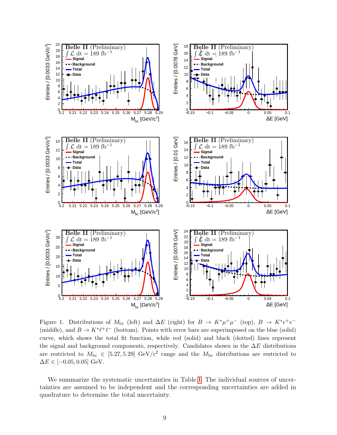

<span id="page-8-0"></span>Figure 1. Distributions of  $M_{bc}$  (left) and  $\Delta E$  (right) for  $B \to K^* \mu^+ \mu^-$  (top),  $B \to K^* e^+ e^-$ (middle), and  $B \to K^* \ell^+ \ell^-$  (bottom). Points with error bars are superimposed on the blue (solid) curve, which shows the total fit function, while red (solid) and black (dotted) lines represent the signal and background components, respectively. Candidates shown in the  $\Delta E$  distributions are restricted to  $M_{\text{bc}} \in [5.27, 5.29] \text{ GeV}/c^2$  range and the  $M_{\text{bc}}$  distributions are restricted to  $\Delta E \in [-0.05, 0.05]$  GeV.

We summarize the systematic uncertainties in Table [I.](#page-9-0) The individual sources of uncertainties are assumed to be independent and the corresponding uncertainties are added in quadrature to determine the total uncertainty.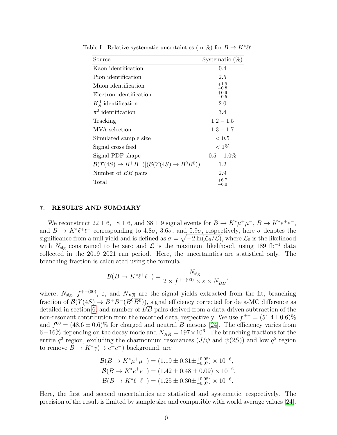| Source                                                                                   | Systematic $(\%)$ |
|------------------------------------------------------------------------------------------|-------------------|
| Kaon identification                                                                      | 0.4               |
| Pion identification                                                                      | 2.5               |
| Muon identification                                                                      | $+1.9$<br>$-0.8$  |
| Electron identification                                                                  | $+0.9$<br>$-0.5$  |
| $K_S^0$ identification                                                                   | 2.0               |
| $\pi^0$ identification                                                                   | 3.4               |
| Tracking                                                                                 | $1.2 - 1.5$       |
| MVA selection                                                                            | $1.3 - 1.7$       |
| Simulated sample size                                                                    | ${}< 0.5$         |
| Signal cross feed                                                                        | $< 1\%$           |
| Signal PDF shape                                                                         | $0.5 - 1.0\%$     |
| $\mathcal{B}(\Upsilon(4S) \to B^+B^-)[(\mathcal{B}(\Upsilon(4S) \to B^0\overline{B^0}))$ | 1.2               |
| Number of $B\overline{B}$ pairs                                                          | 2.9               |
| Total                                                                                    | $+6.7$<br>$-6.0$  |

<span id="page-9-0"></span>Table I. Relative systematic uncertainties (in %) for  $B \to K^* \ell \ell$ .

#### 7. RESULTS AND SUMMARY

We reconstruct  $22 \pm 6$ ,  $18 \pm 6$ , and  $38 \pm 9$  signal events for  $B \to K^* \mu^+ \mu^-$ ,  $B \to K^* e^+ e^-$ , and  $B \to K^* \ell^+ \ell^-$  corresponding to 4.8 $\sigma$ , 3.6 $\sigma$ , and 5.9 $\sigma$ , respectively, here  $\sigma$  denotes the significance from a null yield and is defined as  $\sigma = \sqrt{-2\ln(\mathcal{L}_0/\mathcal{L})}$ , where  $\mathcal{L}_0$  is the likelihood with  $N_{\text{sig}}$  constrained to be zero and  $\mathcal L$  is the maximum likelihood, using 189 fb<sup>-1</sup> data collected in the 2019–2021 run period. Here, the uncertainties are statistical only. The branching fraction is calculated using the formula

$$
\mathcal{B}(B \to K^* \ell^+ \ell^-) = \frac{N_{\text{sig}}}{2 \times f^{+-(00)} \times \varepsilon \times N_{B\overline{B}}},
$$

where,  $N_{\text{sig}}$ ,  $f^{+-(00)}$ ,  $\varepsilon$ , and  $N_{B\overline{B}}$  are the signal yields extracted from the fit, branching fraction of  $\mathcal{B}(\Upsilon(4S) \to B^+B^-(B^0\overline{B^0}))$ , signal efficiency corrected for data-MC difference as detailed in section [6,](#page-7-0) and number of  $B\overline{B}$  pairs derived from a data-driven subtraction of the non-resonant contribution from the recorded data, respectively. We use  $f^{+-} = (51.4 \pm 0.6)\%$ and  $f^{00} = (48.6 \pm 0.6)\%$  for charged and neutral B mesons [\[24\]](#page-10-17). The efficiency varies from 6–16% depending on the decay mode and  $N_{B\overline{B}} = 197 \times 10^6$ . The branching fractions for the entire  $q^2$  region, excluding the charmonium resonances  $(J/\psi \text{ and } \psi(2S))$  and low  $q^2$  region to remove  $B \to K^* \gamma (\to e^+ e^-)$  background, are

$$
\mathcal{B}(B \to K^* \mu^+ \mu^-) = (1.19 \pm 0.31 \pm {}^{+0.08}_{-0.07}) \times 10^{-6},
$$
  
\n
$$
\mathcal{B}(B \to K^* e^+ e^-) = (1.42 \pm 0.48 \pm 0.09) \times 10^{-6},
$$
  
\n
$$
\mathcal{B}(B \to K^* \ell^+ \ell^-) = (1.25 \pm 0.30 \pm {}^{+0.08}_{-0.07}) \times 10^{-6}.
$$

Here, the first and second uncertainties are statistical and systematic, respectively. The precision of the result is limited by sample size and compatible with world average values [\[24\]](#page-10-17).